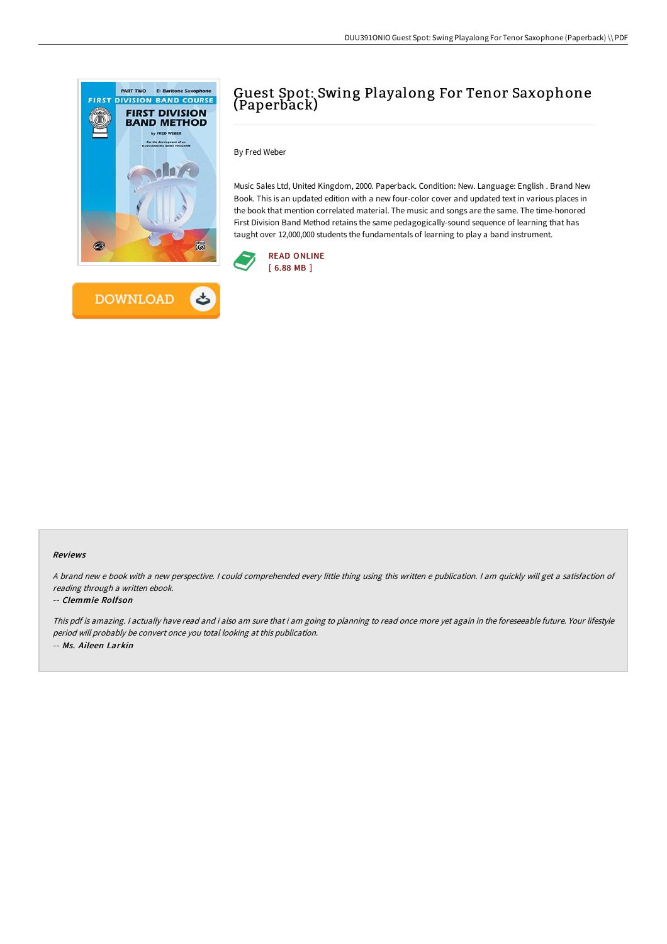



# Guest Spot: Swing Playalong For Tenor Saxophone (Paperback)

By Fred Weber

Music Sales Ltd, United Kingdom, 2000. Paperback. Condition: New. Language: English . Brand New Book. This is an updated edition with a new four-color cover and updated text in various places in the book that mention correlated material. The music and songs are the same. The time-honored First Division Band Method retains the same pedagogically-sound sequence of learning that has taught over 12,000,000 students the fundamentals of learning to play a band instrument.



#### Reviews

A brand new e book with a new perspective. I could comprehended every little thing using this written e publication. I am quickly will get a satisfaction of reading through <sup>a</sup> written ebook.

#### -- Clemmie Rolfson

This pdf is amazing. <sup>I</sup> actually have read and i also am sure that i am going to planning to read once more yet again in the foreseeable future. Your lifestyle period will probably be convert once you total looking at this publication. -- Ms. Aileen Larkin